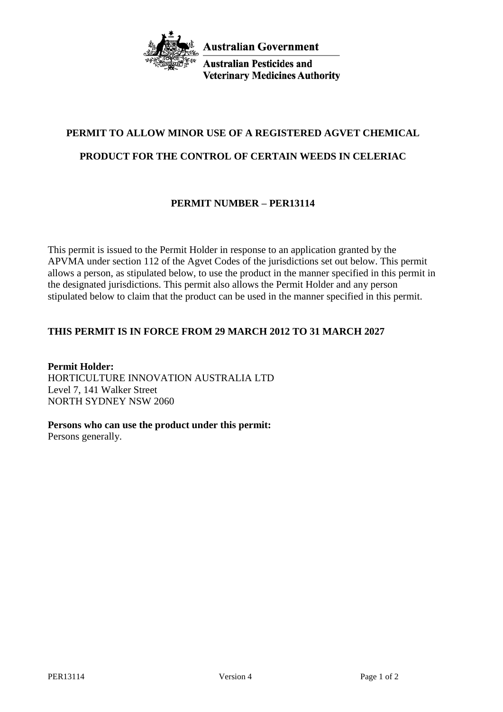

**Australian Pesticides and Veterinary Medicines Authority** 

# **PERMIT TO ALLOW MINOR USE OF A REGISTERED AGVET CHEMICAL**

#### **PRODUCT FOR THE CONTROL OF CERTAIN WEEDS IN CELERIAC**

### **PERMIT NUMBER – PER13114**

This permit is issued to the Permit Holder in response to an application granted by the APVMA under section 112 of the Agvet Codes of the jurisdictions set out below. This permit allows a person, as stipulated below, to use the product in the manner specified in this permit in the designated jurisdictions. This permit also allows the Permit Holder and any person stipulated below to claim that the product can be used in the manner specified in this permit.

#### **THIS PERMIT IS IN FORCE FROM 29 MARCH 2012 TO 31 MARCH 2027**

**Permit Holder:** HORTICULTURE INNOVATION AUSTRALIA LTD Level 7, 141 Walker Street NORTH SYDNEY NSW 2060

**Persons who can use the product under this permit:**

Persons generally.